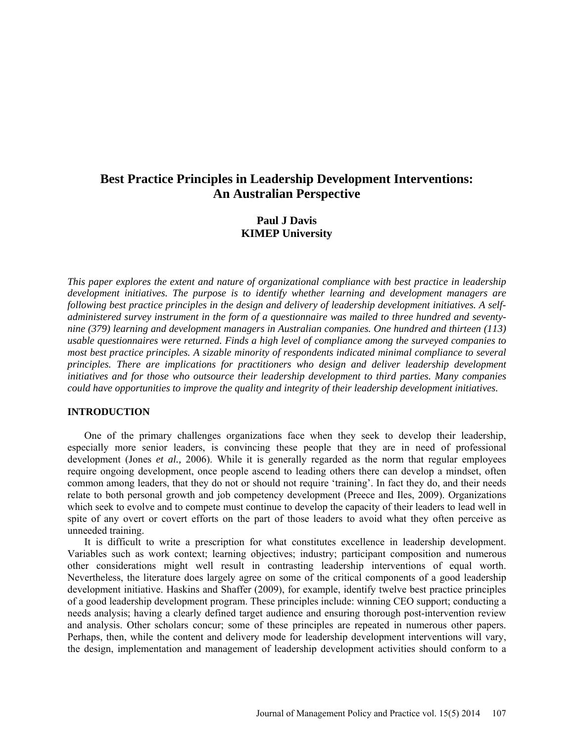# **Best Practice Principles in Leadership Development Interventions: An Australian Perspective**

# **Paul J Davis KIMEP University**

*This paper explores the extent and nature of organizational compliance with best practice in leadership development initiatives. The purpose is to identify whether learning and development managers are following best practice principles in the design and delivery of leadership development initiatives. A selfadministered survey instrument in the form of a questionnaire was mailed to three hundred and seventynine (379) learning and development managers in Australian companies. One hundred and thirteen (113) usable questionnaires were returned. Finds a high level of compliance among the surveyed companies to most best practice principles. A sizable minority of respondents indicated minimal compliance to several principles. There are implications for practitioners who design and deliver leadership development initiatives and for those who outsource their leadership development to third parties. Many companies could have opportunities to improve the quality and integrity of their leadership development initiatives.* 

## **INTRODUCTION**

One of the primary challenges organizations face when they seek to develop their leadership, especially more senior leaders, is convincing these people that they are in need of professional development (Jones *et al.*, 2006). While it is generally regarded as the norm that regular employees require ongoing development, once people ascend to leading others there can develop a mindset, often common among leaders, that they do not or should not require 'training'. In fact they do, and their needs relate to both personal growth and job competency development (Preece and Iles, 2009). Organizations which seek to evolve and to compete must continue to develop the capacity of their leaders to lead well in spite of any overt or covert efforts on the part of those leaders to avoid what they often perceive as unneeded training.

It is difficult to write a prescription for what constitutes excellence in leadership development. Variables such as work context; learning objectives; industry; participant composition and numerous other considerations might well result in contrasting leadership interventions of equal worth. Nevertheless, the literature does largely agree on some of the critical components of a good leadership development initiative. Haskins and Shaffer (2009), for example, identify twelve best practice principles of a good leadership development program. These principles include: winning CEO support; conducting a needs analysis; having a clearly defined target audience and ensuring thorough post-intervention review and analysis. Other scholars concur; some of these principles are repeated in numerous other papers. Perhaps, then, while the content and delivery mode for leadership development interventions will vary, the design, implementation and management of leadership development activities should conform to a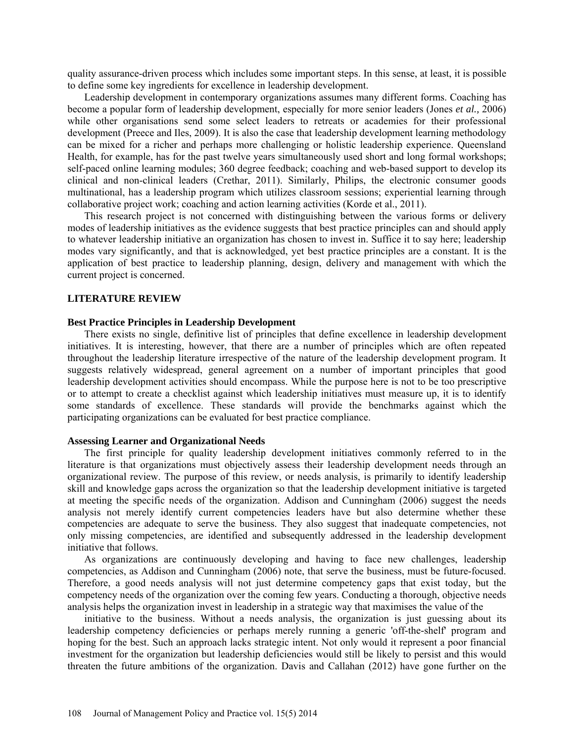quality assurance-driven process which includes some important steps. In this sense, at least, it is possible to define some key ingredients for excellence in leadership development.

Leadership development in contemporary organizations assumes many different forms. Coaching has become a popular form of leadership development, especially for more senior leaders (Jones *et al.,* 2006) while other organisations send some select leaders to retreats or academies for their professional development (Preece and Iles, 2009). It is also the case that leadership development learning methodology can be mixed for a richer and perhaps more challenging or holistic leadership experience. Queensland Health, for example, has for the past twelve years simultaneously used short and long formal workshops; self-paced online learning modules; 360 degree feedback; coaching and web-based support to develop its clinical and non-clinical leaders (Crethar, 2011). Similarly, Philips, the electronic consumer goods multinational, has a leadership program which utilizes classroom sessions; experiential learning through collaborative project work; coaching and action learning activities (Korde et al., 2011).

This research project is not concerned with distinguishing between the various forms or delivery modes of leadership initiatives as the evidence suggests that best practice principles can and should apply to whatever leadership initiative an organization has chosen to invest in. Suffice it to say here; leadership modes vary significantly, and that is acknowledged, yet best practice principles are a constant. It is the application of best practice to leadership planning, design, delivery and management with which the current project is concerned.

# **LITERATURE REVIEW**

#### **Best Practice Principles in Leadership Development**

There exists no single, definitive list of principles that define excellence in leadership development initiatives. It is interesting, however, that there are a number of principles which are often repeated throughout the leadership literature irrespective of the nature of the leadership development program. It suggests relatively widespread, general agreement on a number of important principles that good leadership development activities should encompass. While the purpose here is not to be too prescriptive or to attempt to create a checklist against which leadership initiatives must measure up, it is to identify some standards of excellence. These standards will provide the benchmarks against which the participating organizations can be evaluated for best practice compliance.

#### **Assessing Learner and Organizational Needs**

The first principle for quality leadership development initiatives commonly referred to in the literature is that organizations must objectively assess their leadership development needs through an organizational review. The purpose of this review, or needs analysis, is primarily to identify leadership skill and knowledge gaps across the organization so that the leadership development initiative is targeted at meeting the specific needs of the organization. Addison and Cunningham (2006) suggest the needs analysis not merely identify current competencies leaders have but also determine whether these competencies are adequate to serve the business. They also suggest that inadequate competencies, not only missing competencies, are identified and subsequently addressed in the leadership development initiative that follows.

As organizations are continuously developing and having to face new challenges, leadership competencies, as Addison and Cunningham (2006) note, that serve the business, must be future-focused. Therefore, a good needs analysis will not just determine competency gaps that exist today, but the competency needs of the organization over the coming few years. Conducting a thorough, objective needs analysis helps the organization invest in leadership in a strategic way that maximises the value of the

initiative to the business. Without a needs analysis, the organization is just guessing about its leadership competency deficiencies or perhaps merely running a generic 'off-the-shelf' program and hoping for the best. Such an approach lacks strategic intent. Not only would it represent a poor financial investment for the organization but leadership deficiencies would still be likely to persist and this would threaten the future ambitions of the organization. Davis and Callahan (2012) have gone further on the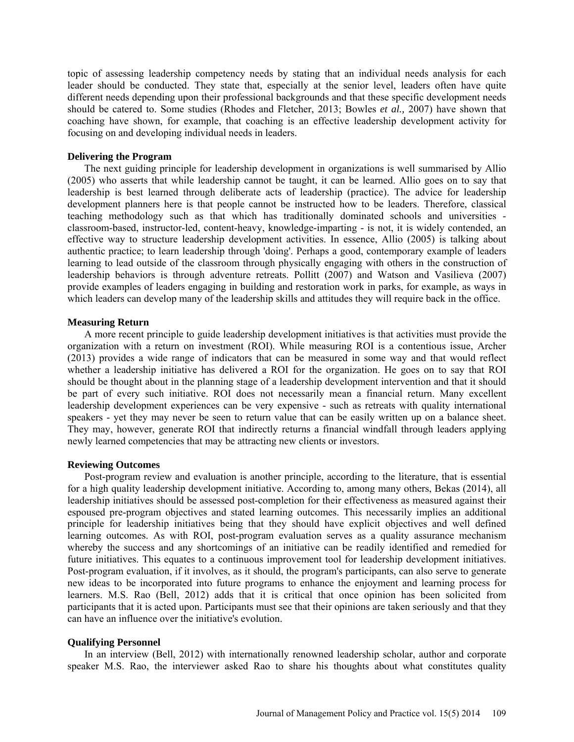topic of assessing leadership competency needs by stating that an individual needs analysis for each leader should be conducted. They state that, especially at the senior level, leaders often have quite different needs depending upon their professional backgrounds and that these specific development needs should be catered to. Some studies (Rhodes and Fletcher, 2013; Bowles *et al.,* 2007) have shown that coaching have shown, for example, that coaching is an effective leadership development activity for focusing on and developing individual needs in leaders.

#### **Delivering the Program**

The next guiding principle for leadership development in organizations is well summarised by Allio (2005) who asserts that while leadership cannot be taught, it can be learned. Allio goes on to say that leadership is best learned through deliberate acts of leadership (practice). The advice for leadership development planners here is that people cannot be instructed how to be leaders. Therefore, classical teaching methodology such as that which has traditionally dominated schools and universities classroom-based, instructor-led, content-heavy, knowledge-imparting - is not, it is widely contended, an effective way to structure leadership development activities. In essence, Allio (2005) is talking about authentic practice; to learn leadership through 'doing'. Perhaps a good, contemporary example of leaders learning to lead outside of the classroom through physically engaging with others in the construction of leadership behaviors is through adventure retreats. Pollitt (2007) and Watson and Vasilieva (2007) provide examples of leaders engaging in building and restoration work in parks, for example, as ways in which leaders can develop many of the leadership skills and attitudes they will require back in the office.

## **Measuring Return**

A more recent principle to guide leadership development initiatives is that activities must provide the organization with a return on investment (ROI). While measuring ROI is a contentious issue, Archer (2013) provides a wide range of indicators that can be measured in some way and that would reflect whether a leadership initiative has delivered a ROI for the organization. He goes on to say that ROI should be thought about in the planning stage of a leadership development intervention and that it should be part of every such initiative. ROI does not necessarily mean a financial return. Many excellent leadership development experiences can be very expensive - such as retreats with quality international speakers - yet they may never be seen to return value that can be easily written up on a balance sheet. They may, however, generate ROI that indirectly returns a financial windfall through leaders applying newly learned competencies that may be attracting new clients or investors.

#### **Reviewing Outcomes**

Post-program review and evaluation is another principle, according to the literature, that is essential for a high quality leadership development initiative. According to, among many others, Bekas (2014), all leadership initiatives should be assessed post-completion for their effectiveness as measured against their espoused pre-program objectives and stated learning outcomes. This necessarily implies an additional principle for leadership initiatives being that they should have explicit objectives and well defined learning outcomes. As with ROI, post-program evaluation serves as a quality assurance mechanism whereby the success and any shortcomings of an initiative can be readily identified and remedied for future initiatives. This equates to a continuous improvement tool for leadership development initiatives. Post-program evaluation, if it involves, as it should, the program's participants, can also serve to generate new ideas to be incorporated into future programs to enhance the enjoyment and learning process for learners. M.S. Rao (Bell, 2012) adds that it is critical that once opinion has been solicited from participants that it is acted upon. Participants must see that their opinions are taken seriously and that they can have an influence over the initiative's evolution.

#### **Qualifying Personnel**

In an interview (Bell, 2012) with internationally renowned leadership scholar, author and corporate speaker M.S. Rao, the interviewer asked Rao to share his thoughts about what constitutes quality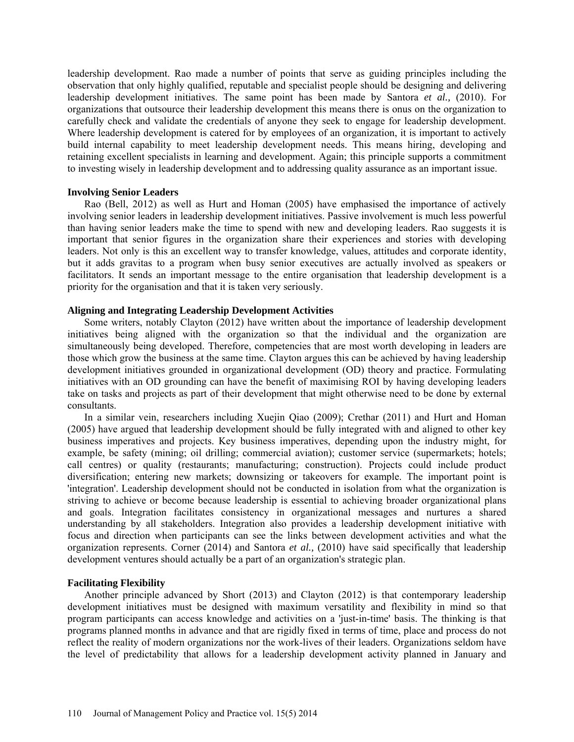leadership development. Rao made a number of points that serve as guiding principles including the observation that only highly qualified, reputable and specialist people should be designing and delivering leadership development initiatives. The same point has been made by Santora *et al.,* (2010). For organizations that outsource their leadership development this means there is onus on the organization to carefully check and validate the credentials of anyone they seek to engage for leadership development. Where leadership development is catered for by employees of an organization, it is important to actively build internal capability to meet leadership development needs. This means hiring, developing and retaining excellent specialists in learning and development. Again; this principle supports a commitment to investing wisely in leadership development and to addressing quality assurance as an important issue.

#### **Involving Senior Leaders**

Rao (Bell, 2012) as well as Hurt and Homan (2005) have emphasised the importance of actively involving senior leaders in leadership development initiatives. Passive involvement is much less powerful than having senior leaders make the time to spend with new and developing leaders. Rao suggests it is important that senior figures in the organization share their experiences and stories with developing leaders. Not only is this an excellent way to transfer knowledge, values, attitudes and corporate identity, but it adds gravitas to a program when busy senior executives are actually involved as speakers or facilitators. It sends an important message to the entire organisation that leadership development is a priority for the organisation and that it is taken very seriously.

# **Aligning and Integrating Leadership Development Activities**

Some writers, notably Clayton (2012) have written about the importance of leadership development initiatives being aligned with the organization so that the individual and the organization are simultaneously being developed. Therefore, competencies that are most worth developing in leaders are those which grow the business at the same time. Clayton argues this can be achieved by having leadership development initiatives grounded in organizational development (OD) theory and practice. Formulating initiatives with an OD grounding can have the benefit of maximising ROI by having developing leaders take on tasks and projects as part of their development that might otherwise need to be done by external consultants.

In a similar vein, researchers including Xuejin Qiao (2009); Crethar (2011) and Hurt and Homan (2005) have argued that leadership development should be fully integrated with and aligned to other key business imperatives and projects. Key business imperatives, depending upon the industry might, for example, be safety (mining; oil drilling; commercial aviation); customer service (supermarkets; hotels; call centres) or quality (restaurants; manufacturing; construction). Projects could include product diversification; entering new markets; downsizing or takeovers for example. The important point is 'integration'. Leadership development should not be conducted in isolation from what the organization is striving to achieve or become because leadership is essential to achieving broader organizational plans and goals. Integration facilitates consistency in organizational messages and nurtures a shared understanding by all stakeholders. Integration also provides a leadership development initiative with focus and direction when participants can see the links between development activities and what the organization represents. Corner (2014) and Santora *et al.,* (2010) have said specifically that leadership development ventures should actually be a part of an organization's strategic plan.

## **Facilitating Flexibility**

Another principle advanced by Short (2013) and Clayton (2012) is that contemporary leadership development initiatives must be designed with maximum versatility and flexibility in mind so that program participants can access knowledge and activities on a 'just-in-time' basis. The thinking is that programs planned months in advance and that are rigidly fixed in terms of time, place and process do not reflect the reality of modern organizations nor the work-lives of their leaders. Organizations seldom have the level of predictability that allows for a leadership development activity planned in January and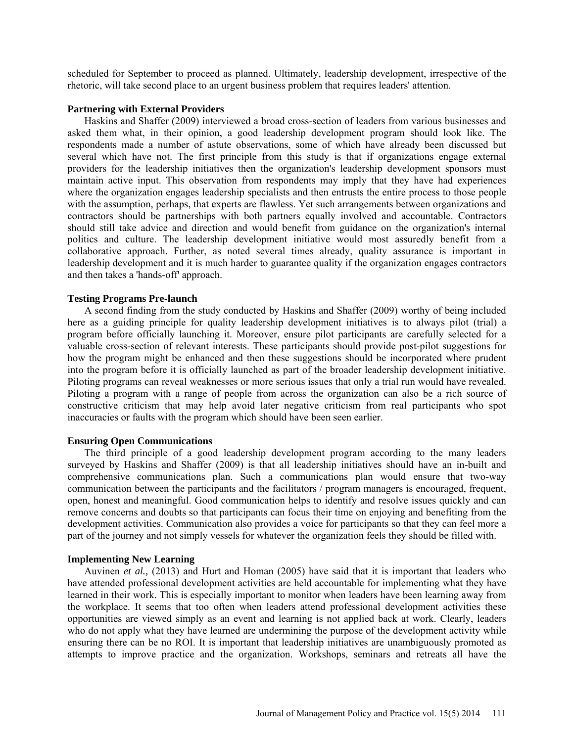scheduled for September to proceed as planned. Ultimately, leadership development, irrespective of the rhetoric, will take second place to an urgent business problem that requires leaders' attention.

#### **Partnering with External Providers**

Haskins and Shaffer (2009) interviewed a broad cross-section of leaders from various businesses and asked them what, in their opinion, a good leadership development program should look like. The respondents made a number of astute observations, some of which have already been discussed but several which have not. The first principle from this study is that if organizations engage external providers for the leadership initiatives then the organization's leadership development sponsors must maintain active input. This observation from respondents may imply that they have had experiences where the organization engages leadership specialists and then entrusts the entire process to those people with the assumption, perhaps, that experts are flawless. Yet such arrangements between organizations and contractors should be partnerships with both partners equally involved and accountable. Contractors should still take advice and direction and would benefit from guidance on the organization's internal politics and culture. The leadership development initiative would most assuredly benefit from a collaborative approach. Further, as noted several times already, quality assurance is important in leadership development and it is much harder to guarantee quality if the organization engages contractors and then takes a 'hands-off' approach.

## **Testing Programs Pre-launch**

A second finding from the study conducted by Haskins and Shaffer (2009) worthy of being included here as a guiding principle for quality leadership development initiatives is to always pilot (trial) a program before officially launching it. Moreover, ensure pilot participants are carefully selected for a valuable cross-section of relevant interests. These participants should provide post-pilot suggestions for how the program might be enhanced and then these suggestions should be incorporated where prudent into the program before it is officially launched as part of the broader leadership development initiative. Piloting programs can reveal weaknesses or more serious issues that only a trial run would have revealed. Piloting a program with a range of people from across the organization can also be a rich source of constructive criticism that may help avoid later negative criticism from real participants who spot inaccuracies or faults with the program which should have been seen earlier.

## **Ensuring Open Communications**

The third principle of a good leadership development program according to the many leaders surveyed by Haskins and Shaffer (2009) is that all leadership initiatives should have an in-built and comprehensive communications plan. Such a communications plan would ensure that two-way communication between the participants and the facilitators / program managers is encouraged, frequent, open, honest and meaningful. Good communication helps to identify and resolve issues quickly and can remove concerns and doubts so that participants can focus their time on enjoying and benefiting from the development activities. Communication also provides a voice for participants so that they can feel more a part of the journey and not simply vessels for whatever the organization feels they should be filled with.

#### **Implementing New Learning**

Auvinen *et al.,* (2013) and Hurt and Homan (2005) have said that it is important that leaders who have attended professional development activities are held accountable for implementing what they have learned in their work. This is especially important to monitor when leaders have been learning away from the workplace. It seems that too often when leaders attend professional development activities these opportunities are viewed simply as an event and learning is not applied back at work. Clearly, leaders who do not apply what they have learned are undermining the purpose of the development activity while ensuring there can be no ROI. It is important that leadership initiatives are unambiguously promoted as attempts to improve practice and the organization. Workshops, seminars and retreats all have the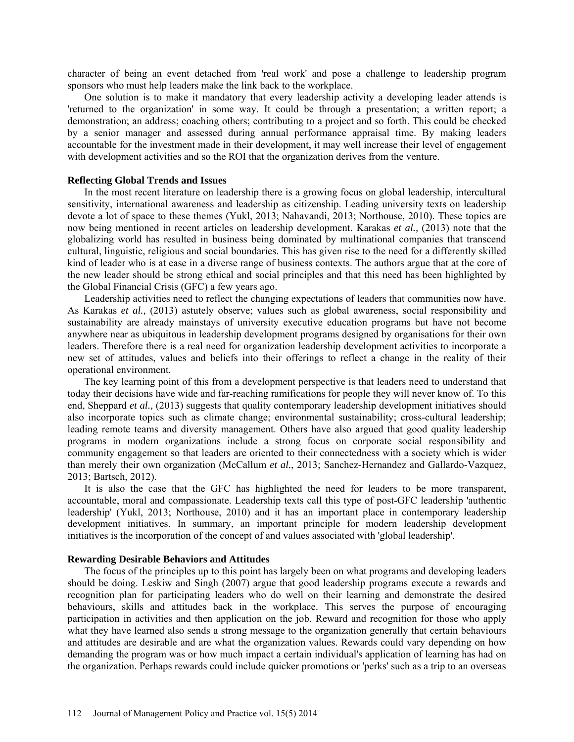character of being an event detached from 'real work' and pose a challenge to leadership program sponsors who must help leaders make the link back to the workplace.

One solution is to make it mandatory that every leadership activity a developing leader attends is 'returned to the organization' in some way. It could be through a presentation; a written report; a demonstration; an address; coaching others; contributing to a project and so forth. This could be checked by a senior manager and assessed during annual performance appraisal time. By making leaders accountable for the investment made in their development, it may well increase their level of engagement with development activities and so the ROI that the organization derives from the venture.

## **Reflecting Global Trends and Issues**

In the most recent literature on leadership there is a growing focus on global leadership, intercultural sensitivity, international awareness and leadership as citizenship. Leading university texts on leadership devote a lot of space to these themes (Yukl, 2013; Nahavandi, 2013; Northouse, 2010). These topics are now being mentioned in recent articles on leadership development. Karakas *et al.,* (2013) note that the globalizing world has resulted in business being dominated by multinational companies that transcend cultural, linguistic, religious and social boundaries. This has given rise to the need for a differently skilled kind of leader who is at ease in a diverse range of business contexts. The authors argue that at the core of the new leader should be strong ethical and social principles and that this need has been highlighted by the Global Financial Crisis (GFC) a few years ago.

Leadership activities need to reflect the changing expectations of leaders that communities now have. As Karakas *et al.,* (2013) astutely observe; values such as global awareness, social responsibility and sustainability are already mainstays of university executive education programs but have not become anywhere near as ubiquitous in leadership development programs designed by organisations for their own leaders. Therefore there is a real need for organization leadership development activities to incorporate a new set of attitudes, values and beliefs into their offerings to reflect a change in the reality of their operational environment.

The key learning point of this from a development perspective is that leaders need to understand that today their decisions have wide and far-reaching ramifications for people they will never know of. To this end, Sheppard *et al.,* (2013) suggests that quality contemporary leadership development initiatives should also incorporate topics such as climate change; environmental sustainability; cross-cultural leadership; leading remote teams and diversity management. Others have also argued that good quality leadership programs in modern organizations include a strong focus on corporate social responsibility and community engagement so that leaders are oriented to their connectedness with a society which is wider than merely their own organization (McCallum *et al.*, 2013; Sanchez-Hernandez and Gallardo-Vazquez, 2013; Bartsch, 2012).

It is also the case that the GFC has highlighted the need for leaders to be more transparent, accountable, moral and compassionate. Leadership texts call this type of post-GFC leadership 'authentic leadership' (Yukl, 2013; Northouse, 2010) and it has an important place in contemporary leadership development initiatives. In summary, an important principle for modern leadership development initiatives is the incorporation of the concept of and values associated with 'global leadership'.

## **Rewarding Desirable Behaviors and Attitudes**

The focus of the principles up to this point has largely been on what programs and developing leaders should be doing. Leskiw and Singh (2007) argue that good leadership programs execute a rewards and recognition plan for participating leaders who do well on their learning and demonstrate the desired behaviours, skills and attitudes back in the workplace. This serves the purpose of encouraging participation in activities and then application on the job. Reward and recognition for those who apply what they have learned also sends a strong message to the organization generally that certain behaviours and attitudes are desirable and are what the organization values. Rewards could vary depending on how demanding the program was or how much impact a certain individual's application of learning has had on the organization. Perhaps rewards could include quicker promotions or 'perks' such as a trip to an overseas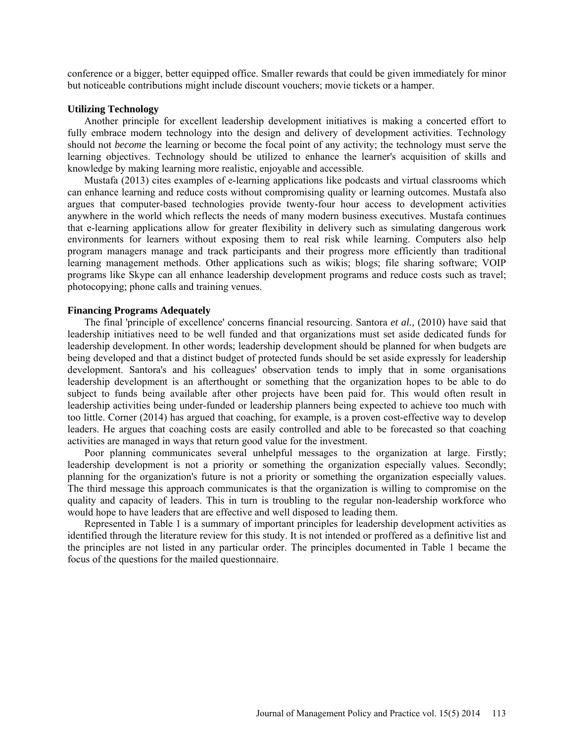conference or a bigger, better equipped office. Smaller rewards that could be given immediately for minor but noticeable contributions might include discount vouchers; movie tickets or a hamper.

### **Utilizing Technology**

Another principle for excellent leadership development initiatives is making a concerted effort to fully embrace modern technology into the design and delivery of development activities. Technology should not *become* the learning or become the focal point of any activity; the technology must serve the learning objectives. Technology should be utilized to enhance the learner's acquisition of skills and knowledge by making learning more realistic, enjoyable and accessible.

Mustafa (2013) cites examples of e-learning applications like podcasts and virtual classrooms which can enhance learning and reduce costs without compromising quality or learning outcomes. Mustafa also argues that computer-based technologies provide twenty-four hour access to development activities anywhere in the world which reflects the needs of many modern business executives. Mustafa continues that e-learning applications allow for greater flexibility in delivery such as simulating dangerous work environments for learners without exposing them to real risk while learning. Computers also help program managers manage and track participants and their progress more efficiently than traditional learning management methods. Other applications such as wikis; blogs; file sharing software; VOIP programs like Skype can all enhance leadership development programs and reduce costs such as travel; photocopying; phone calls and training venues.

## **Financing Programs Adequately**

The final 'principle of excellence' concerns financial resourcing. Santora *et al.,* (2010) have said that leadership initiatives need to be well funded and that organizations must set aside dedicated funds for leadership development. In other words; leadership development should be planned for when budgets are being developed and that a distinct budget of protected funds should be set aside expressly for leadership development. Santora's and his colleagues' observation tends to imply that in some organisations leadership development is an afterthought or something that the organization hopes to be able to do subject to funds being available after other projects have been paid for. This would often result in leadership activities being under-funded or leadership planners being expected to achieve too much with too little. Corner (2014) has argued that coaching, for example, is a proven cost-effective way to develop leaders. He argues that coaching costs are easily controlled and able to be forecasted so that coaching activities are managed in ways that return good value for the investment.

Poor planning communicates several unhelpful messages to the organization at large. Firstly; leadership development is not a priority or something the organization especially values. Secondly; planning for the organization's future is not a priority or something the organization especially values. The third message this approach communicates is that the organization is willing to compromise on the quality and capacity of leaders. This in turn is troubling to the regular non-leadership workforce who would hope to have leaders that are effective and well disposed to leading them.

Represented in Table 1 is a summary of important principles for leadership development activities as identified through the literature review for this study. It is not intended or proffered as a definitive list and the principles are not listed in any particular order. The principles documented in Table 1 became the focus of the questions for the mailed questionnaire.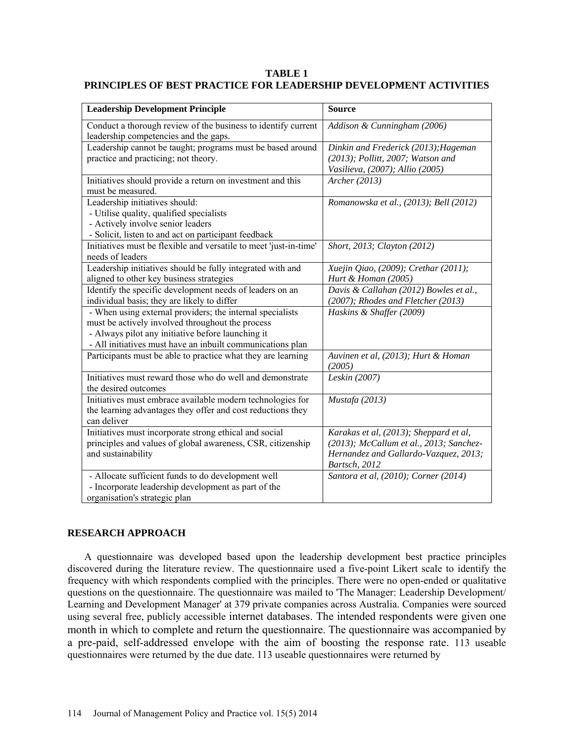# **TABLE 1 PRINCIPLES OF BEST PRACTICE FOR LEADERSHIP DEVELOPMENT ACTIVITIES**

| <b>Leadership Development Principle</b>                                                                                                                                                                                          | <b>Source</b>                                                                                                                               |
|----------------------------------------------------------------------------------------------------------------------------------------------------------------------------------------------------------------------------------|---------------------------------------------------------------------------------------------------------------------------------------------|
| Conduct a thorough review of the business to identify current<br>leadership competencies and the gaps.                                                                                                                           | Addison & Cunningham (2006)                                                                                                                 |
| Leadership cannot be taught; programs must be based around<br>practice and practicing; not theory.                                                                                                                               | Dinkin and Frederick (2013); Hageman<br>(2013); Pollitt, 2007; Watson and<br>Vasilieva, (2007); Allio (2005)                                |
| Initiatives should provide a return on investment and this<br>must be measured.                                                                                                                                                  | Archer (2013)                                                                                                                               |
| Leadership initiatives should:<br>- Utilise quality, qualified specialists<br>- Actively involve senior leaders<br>- Solicit, listen to and act on participant feedback                                                          | Romanowska et al., (2013); Bell (2012)                                                                                                      |
| Initiatives must be flexible and versatile to meet 'just-in-time'<br>needs of leaders                                                                                                                                            | Short, 2013; Clayton (2012)                                                                                                                 |
| Leadership initiatives should be fully integrated with and<br>aligned to other key business strategies                                                                                                                           | Xuejin Qiao, (2009); Crethar (2011);<br>Hurt & Homan (2005)                                                                                 |
| Identify the specific development needs of leaders on an<br>individual basis; they are likely to differ                                                                                                                          | Davis & Callahan (2012) Bowles et al.,<br>(2007); Rhodes and Fletcher (2013)                                                                |
| - When using external providers; the internal specialists<br>must be actively involved throughout the process<br>- Always pilot any initiative before launching it<br>- All initiatives must have an inbuilt communications plan | Haskins & Shaffer (2009)                                                                                                                    |
| Participants must be able to practice what they are learning                                                                                                                                                                     | Auvinen et al, (2013); Hurt & Homan<br>(2005)                                                                                               |
| Initiatives must reward those who do well and demonstrate<br>the desired outcomes                                                                                                                                                | Leskin (2007)                                                                                                                               |
| Initiatives must embrace available modern technologies for<br>the learning advantages they offer and cost reductions they<br>can deliver                                                                                         | Mustafa (2013)                                                                                                                              |
| Initiatives must incorporate strong ethical and social<br>principles and values of global awareness, CSR, citizenship<br>and sustainability                                                                                      | Karakas et al, (2013); Sheppard et al,<br>(2013); McCallum et al., 2013; Sanchez-<br>Hernandez and Gallardo-Vazquez, 2013;<br>Bartsch, 2012 |
| - Allocate sufficient funds to do development well<br>- Incorporate leadership development as part of the<br>organisation's strategic plan                                                                                       | Santora et al, (2010); Corner (2014)                                                                                                        |

# **RESEARCH APPROACH**

A questionnaire was developed based upon the leadership development best practice principles discovered during the literature review. The questionnaire used a five-point Likert scale to identify the frequency with which respondents complied with the principles. There were no open-ended or qualitative questions on the questionnaire. The questionnaire was mailed to 'The Manager: Leadership Development/ Learning and Development Manager' at 379 private companies across Australia. Companies were sourced using several free, publicly accessible internet databases. The intended respondents were given one month in which to complete and return the questionnaire. The questionnaire was accompanied by a pre-paid, self-addressed envelope with the aim of boosting the response rate. 113 useable questionnaires were returned by the due date. 113 useable questionnaires were returned by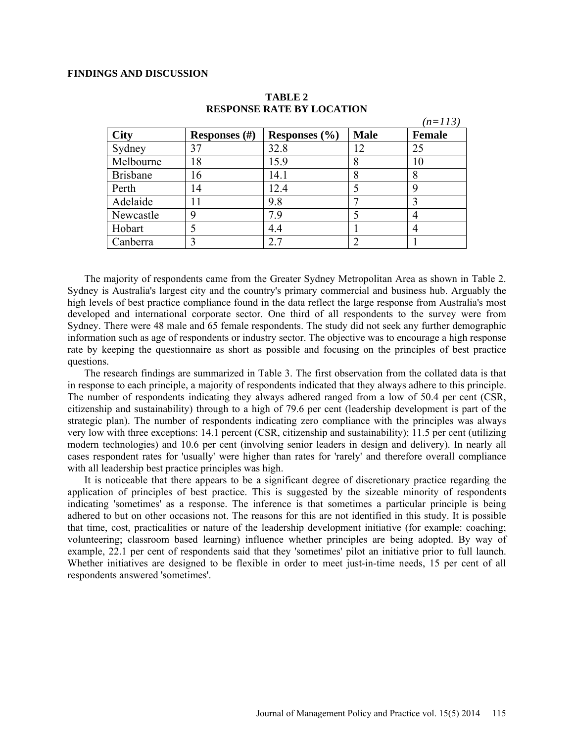#### **FINDINGS AND DISCUSSION**

|                 |                  |                   |             | $(n=113)$     |
|-----------------|------------------|-------------------|-------------|---------------|
| <b>City</b>     | Responses $(\#)$ | Responses $(\% )$ | <b>Male</b> | <b>Female</b> |
| Sydney          | 37               | 32.8              | 12          | 25            |
| Melbourne       | 18               | 15.9              | 8           | 10            |
| <b>Brisbane</b> | 16               | 14.1              | 8           | 8             |
| Perth           | 14               | 12.4              |             | 9             |
| Adelaide        | l 1              | 9.8               |             |               |
| Newcastle       | 9                | 7.9               |             | 4             |
| Hobart          |                  | 4.4               |             |               |
| Canberra        |                  | 2.7               |             |               |

# **TABLE 2 RESPONSE RATE BY LOCATION**

The majority of respondents came from the Greater Sydney Metropolitan Area as shown in Table 2. Sydney is Australia's largest city and the country's primary commercial and business hub. Arguably the high levels of best practice compliance found in the data reflect the large response from Australia's most developed and international corporate sector. One third of all respondents to the survey were from Sydney. There were 48 male and 65 female respondents. The study did not seek any further demographic information such as age of respondents or industry sector. The objective was to encourage a high response rate by keeping the questionnaire as short as possible and focusing on the principles of best practice questions.

The research findings are summarized in Table 3. The first observation from the collated data is that in response to each principle, a majority of respondents indicated that they always adhere to this principle. The number of respondents indicating they always adhered ranged from a low of 50.4 per cent (CSR, citizenship and sustainability) through to a high of 79.6 per cent (leadership development is part of the strategic plan). The number of respondents indicating zero compliance with the principles was always very low with three exceptions: 14.1 percent (CSR, citizenship and sustainability); 11.5 per cent (utilizing modern technologies) and 10.6 per cent (involving senior leaders in design and delivery). In nearly all cases respondent rates for 'usually' were higher than rates for 'rarely' and therefore overall compliance with all leadership best practice principles was high.

It is noticeable that there appears to be a significant degree of discretionary practice regarding the application of principles of best practice. This is suggested by the sizeable minority of respondents indicating 'sometimes' as a response. The inference is that sometimes a particular principle is being adhered to but on other occasions not. The reasons for this are not identified in this study. It is possible that time, cost, practicalities or nature of the leadership development initiative (for example: coaching; volunteering; classroom based learning) influence whether principles are being adopted. By way of example, 22.1 per cent of respondents said that they 'sometimes' pilot an initiative prior to full launch. Whether initiatives are designed to be flexible in order to meet just-in-time needs, 15 per cent of all respondents answered 'sometimes'.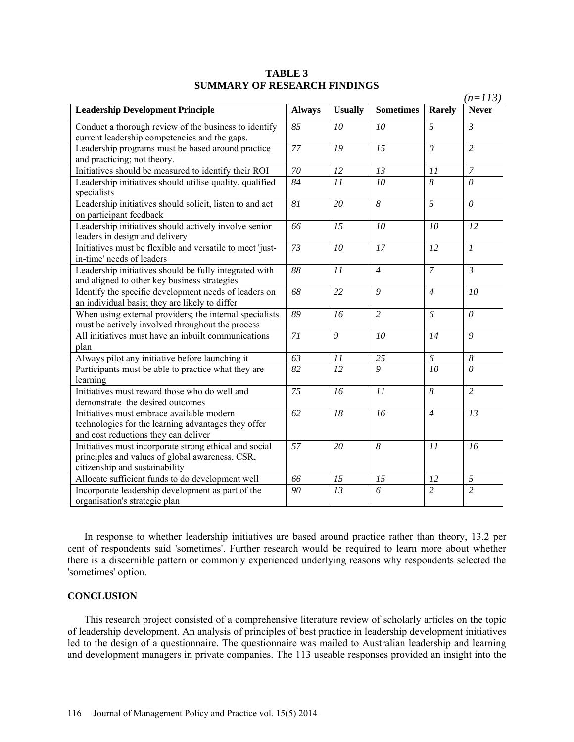|                                                                                                                                             |               |                 |                  |                     | $(n=113)$                 |  |
|---------------------------------------------------------------------------------------------------------------------------------------------|---------------|-----------------|------------------|---------------------|---------------------------|--|
| <b>Leadership Development Principle</b>                                                                                                     | <b>Always</b> | <b>Usually</b>  | <b>Sometimes</b> | <b>Rarely</b>       | <b>Never</b>              |  |
| Conduct a thorough review of the business to identify<br>current leadership competencies and the gaps.                                      | 85            | 10              | 10               | 5                   | $\overline{\mathfrak{z}}$ |  |
| Leadership programs must be based around practice<br>and practicing; not theory.                                                            | 77            | 19              | 15               | 0                   | $\overline{2}$            |  |
| Initiatives should be measured to identify their ROI                                                                                        | $70\,$        | 12              | 13               | 11                  | $\boldsymbol{7}$          |  |
| Leadership initiatives should utilise quality, qualified<br>specialists                                                                     | 84            | 11              | 10               | $\overline{\delta}$ | $\theta$                  |  |
| Leadership initiatives should solicit, listen to and act<br>on participant feedback                                                         | 81            | 20              | 8                | 5                   | $\theta$                  |  |
| Leadership initiatives should actively involve senior<br>leaders in design and delivery                                                     | 66            | 15              | 10               | 10                  | 12                        |  |
| Initiatives must be flexible and versatile to meet 'just-<br>in-time' needs of leaders                                                      | 73            | 10              | 17               | 12                  | $\mathfrak{I}$            |  |
| Leadership initiatives should be fully integrated with<br>and aligned to other key business strategies                                      | 88            | 11              | $\overline{4}$   | $\overline{7}$      | $\mathfrak{Z}$            |  |
| Identify the specific development needs of leaders on<br>an individual basis; they are likely to differ                                     | 68            | 22              | 9                | $\overline{4}$      | 10                        |  |
| When using external providers; the internal specialists<br>must be actively involved throughout the process                                 | 89            | 16              | $\overline{2}$   | 6                   | $\theta$                  |  |
| All initiatives must have an inbuilt communications<br>plan                                                                                 | 71            | 9               | 10               | 14                  | 9                         |  |
| Always pilot any initiative before launching it                                                                                             | 63            | 11              | 25               | 6                   | $\boldsymbol{8}$          |  |
| Participants must be able to practice what they are<br>learning                                                                             | 82            | 12              | $\boldsymbol{Q}$ | 10 <sup>2</sup>     | $\theta$                  |  |
| Initiatives must reward those who do well and<br>demonstrate the desired outcomes                                                           | 75            | 16              | 11               | 8                   | $\overline{2}$            |  |
| Initiatives must embrace available modern<br>technologies for the learning advantages they offer<br>and cost reductions they can deliver    | 62            | 18              | 16               | $\overline{4}$      | 13                        |  |
| Initiatives must incorporate strong ethical and social<br>principles and values of global awareness, CSR,<br>citizenship and sustainability | 57            | 20              | 8                | 11                  | 16                        |  |
| Allocate sufficient funds to do development well                                                                                            | 66            | 15              | 15               | 12                  | 5                         |  |
| Incorporate leadership development as part of the<br>organisation's strategic plan                                                          | 90            | $\overline{13}$ | $\overline{6}$   | $\overline{2}$      | $\overline{2}$            |  |

# **TABLE 3 SUMMARY OF RESEARCH FINDINGS**

In response to whether leadership initiatives are based around practice rather than theory, 13.2 per cent of respondents said 'sometimes'. Further research would be required to learn more about whether there is a discernible pattern or commonly experienced underlying reasons why respondents selected the 'sometimes' option.

# **CONCLUSION**

This research project consisted of a comprehensive literature review of scholarly articles on the topic of leadership development. An analysis of principles of best practice in leadership development initiatives led to the design of a questionnaire. The questionnaire was mailed to Australian leadership and learning and development managers in private companies. The 113 useable responses provided an insight into the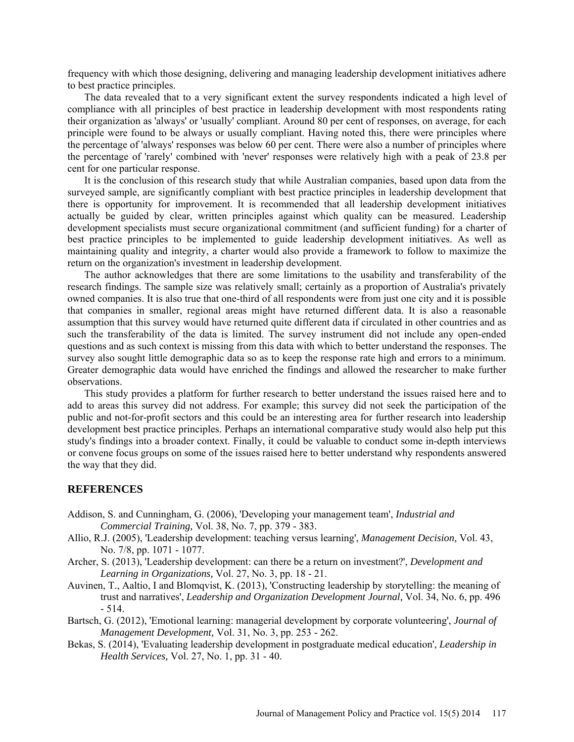frequency with which those designing, delivering and managing leadership development initiatives adhere to best practice principles.

The data revealed that to a very significant extent the survey respondents indicated a high level of compliance with all principles of best practice in leadership development with most respondents rating their organization as 'always' or 'usually' compliant. Around 80 per cent of responses, on average, for each principle were found to be always or usually compliant. Having noted this, there were principles where the percentage of 'always' responses was below 60 per cent. There were also a number of principles where the percentage of 'rarely' combined with 'never' responses were relatively high with a peak of 23.8 per cent for one particular response.

It is the conclusion of this research study that while Australian companies, based upon data from the surveyed sample, are significantly compliant with best practice principles in leadership development that there is opportunity for improvement. It is recommended that all leadership development initiatives actually be guided by clear, written principles against which quality can be measured. Leadership development specialists must secure organizational commitment (and sufficient funding) for a charter of best practice principles to be implemented to guide leadership development initiatives. As well as maintaining quality and integrity, a charter would also provide a framework to follow to maximize the return on the organization's investment in leadership development.

The author acknowledges that there are some limitations to the usability and transferability of the research findings. The sample size was relatively small; certainly as a proportion of Australia's privately owned companies. It is also true that one-third of all respondents were from just one city and it is possible that companies in smaller, regional areas might have returned different data. It is also a reasonable assumption that this survey would have returned quite different data if circulated in other countries and as such the transferability of the data is limited. The survey instrument did not include any open-ended questions and as such context is missing from this data with which to better understand the responses. The survey also sought little demographic data so as to keep the response rate high and errors to a minimum. Greater demographic data would have enriched the findings and allowed the researcher to make further observations.

This study provides a platform for further research to better understand the issues raised here and to add to areas this survey did not address. For example; this survey did not seek the participation of the public and not-for-profit sectors and this could be an interesting area for further research into leadership development best practice principles. Perhaps an international comparative study would also help put this study's findings into a broader context. Finally, it could be valuable to conduct some in-depth interviews or convene focus groups on some of the issues raised here to better understand why respondents answered the way that they did.

# **REFERENCES**

- Addison, S. and Cunningham, G. (2006), 'Developing your management team', *Industrial and Commercial Training,* Vol. 38, No. 7, pp. 379 - 383.
- Allio, R.J. (2005), 'Leadership development: teaching versus learning', *Management Decision,* Vol. 43, No. 7/8, pp. 1071 - 1077.
- Archer, S. (2013), 'Leadership development: can there be a return on investment?', *Development and Learning in Organizations,* Vol. 27, No. 3, pp. 18 - 21.
- Auvinen, T., Aaltio, I and Blomqvist, K. (2013), 'Constructing leadership by storytelling: the meaning of trust and narratives', *Leadership and Organization Development Journal,* Vol. 34, No. 6, pp. 496 - 514.
- Bartsch, G. (2012), 'Emotional learning: managerial development by corporate volunteering', *Journal of Management Development,* Vol. 31, No. 3, pp. 253 - 262.
- Bekas, S. (2014), 'Evaluating leadership development in postgraduate medical education', *Leadership in Health Services,* Vol. 27, No. 1, pp. 31 - 40.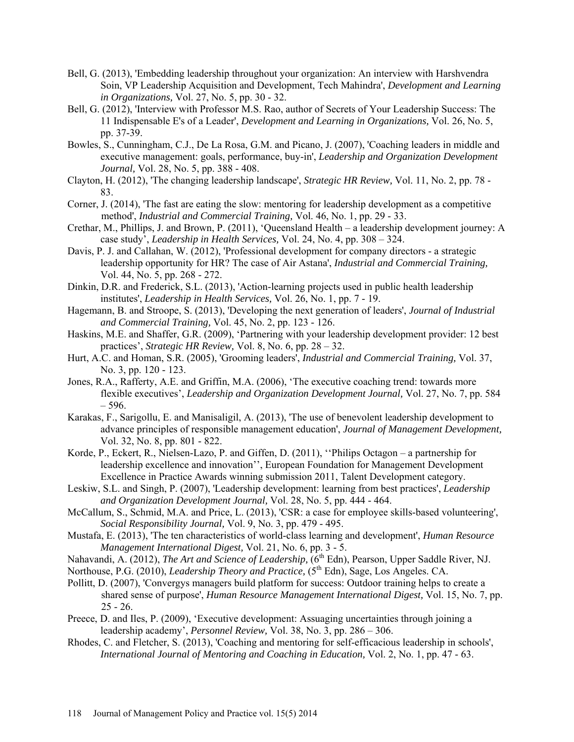- Bell, G. (2013), 'Embedding leadership throughout your organization: An interview with Harshvendra Soin, VP Leadership Acquisition and Development, Tech Mahindra', *Development and Learning in Organizations,* Vol. 27, No. 5, pp. 30 - 32.
- Bell, G. (2012), 'Interview with Professor M.S. Rao, author of Secrets of Your Leadership Success: The 11 Indispensable E's of a Leader', *Development and Learning in Organizations,* Vol. 26, No. 5, pp. 37-39.
- Bowles, S., Cunningham, C.J., De La Rosa, G.M. and Picano, J. (2007), 'Coaching leaders in middle and executive management: goals, performance, buy-in', *Leadership and Organization Development Journal,* Vol. 28, No. 5, pp. 388 - 408.
- Clayton, H. (2012), 'The changing leadership landscape', *Strategic HR Review,* Vol. 11, No. 2, pp. 78 83.
- Corner, J. (2014), 'The fast are eating the slow: mentoring for leadership development as a competitive method', *Industrial and Commercial Training,* Vol. 46, No. 1, pp. 29 - 33.
- Crethar, M., Phillips, J. and Brown, P. (2011), 'Queensland Health a leadership development journey: A case study', *Leadership in Health Services,* Vol. 24, No. 4, pp. 308 – 324.
- Davis, P. J. and Callahan, W. (2012), 'Professional development for company directors a strategic leadership opportunity for HR? The case of Air Astana', *Industrial and Commercial Training,*  Vol. 44, No. 5, pp. 268 - 272.
- Dinkin, D.R. and Frederick, S.L. (2013), 'Action-learning projects used in public health leadership institutes', *Leadership in Health Services,* Vol. 26, No. 1, pp. 7 - 19.
- Hagemann, B. and Stroope, S. (2013), 'Developing the next generation of leaders', *Journal of Industrial and Commercial Training,* Vol. 45, No. 2, pp. 123 - 126.
- Haskins, M.E. and Shaffer, G.R. (2009), 'Partnering with your leadership development provider: 12 best practices', *Strategic HR Review,* Vol. 8, No. 6, pp. 28 – 32.
- Hurt, A.C. and Homan, S.R. (2005), 'Grooming leaders', *Industrial and Commercial Training,* Vol. 37, No. 3, pp. 120 - 123.
- Jones, R.A., Rafferty, A.E. and Griffin, M.A. (2006), 'The executive coaching trend: towards more flexible executives', *Leadership and Organization Development Journal,* Vol. 27, No. 7, pp. 584 – 596.
- Karakas, F., Sarigollu, E. and Manisaligil, A. (2013), 'The use of benevolent leadership development to advance principles of responsible management education', *Journal of Management Development,*  Vol. 32, No. 8, pp. 801 - 822.
- Korde, P., Eckert, R., Nielsen-Lazo, P. and Giffen, D. (2011), ''Philips Octagon a partnership for leadership excellence and innovation'', European Foundation for Management Development Excellence in Practice Awards winning submission 2011, Talent Development category.
- Leskiw, S.L. and Singh, P. (2007), 'Leadership development: learning from best practices', *Leadership and Organization Development Journal,* Vol. 28, No. 5, pp. 444 - 464.
- McCallum, S., Schmid, M.A. and Price, L. (2013), 'CSR: a case for employee skills-based volunteering', *Social Responsibility Journal,* Vol. 9, No. 3, pp. 479 - 495.
- Mustafa, E. (2013), 'The ten characteristics of world-class learning and development', *Human Resource Management International Digest,* Vol. 21, No. 6, pp. 3 - 5.
- Nahavandi, A. (2012), *The Art and Science of Leadership*, (6<sup>th</sup> Edn), Pearson, Upper Saddle River, NJ.
- Northouse, P.G. (2010), *Leadership Theory and Practice*, (5<sup>th</sup> Edn), Sage, Los Angeles. CA.
- Pollitt, D. (2007), 'Convergys managers build platform for success: Outdoor training helps to create a shared sense of purpose', *Human Resource Management International Digest,* Vol. 15, No. 7, pp. 25 - 26.
- Preece, D. and Iles, P. (2009), 'Executive development: Assuaging uncertainties through joining a leadership academy', *Personnel Review,* Vol. 38, No. 3, pp. 286 – 306.
- Rhodes, C. and Fletcher, S. (2013), 'Coaching and mentoring for self-efficacious leadership in schools', *International Journal of Mentoring and Coaching in Education,* Vol. 2, No. 1, pp. 47 - 63.